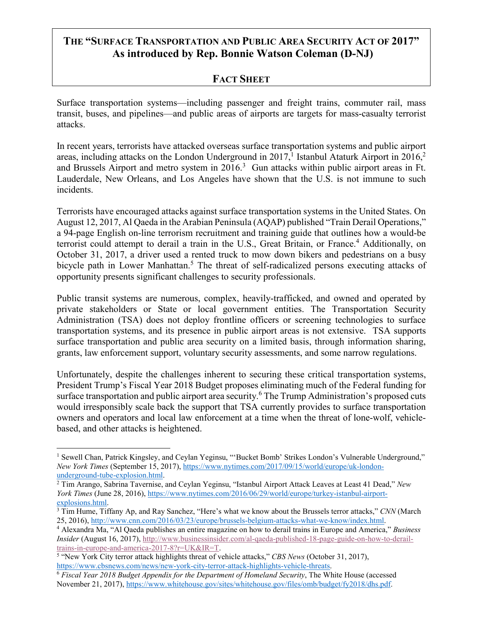# **THE "SURFACE TRANSPORTATION AND PUBLIC AREA SECURITY ACT OF 2017" As introduced by Rep. Bonnie Watson Coleman (D-NJ)**

## **FACT SHEET**

Surface transportation systems—including passenger and freight trains, commuter rail, mass transit, buses, and pipelines—and public areas of airports are targets for mass-casualty terrorist attacks.

In recent years, terrorists have attacked overseas surface transportation systems and public airport areas, including attacks on the London Underground in 2017, I Istanbul Ataturk Airport in 2016,<sup>2</sup> and Brussels Airport and metro system in 2016.<sup>3</sup> Gun attacks within public airport areas in Ft. Lauderdale, New Orleans, and Los Angeles have shown that the U.S. is not immune to such incidents.

Terrorists have encouraged attacks against surface transportation systems in the United States. On August 12, 2017, Al Qaeda in the Arabian Peninsula (AQAP) published "Train Derail Operations," a 94-page English on-line terrorism recruitment and training guide that outlines how a would-be terrorist could attempt to derail a train in the U.S., Great Britain, or France.<sup>4</sup> Additionally, on October 31, 2017, a driver used a rented truck to mow down bikers and pedestrians on a busy bicycle path in Lower Manhattan.<sup>5</sup> The threat of self-radicalized persons executing attacks of opportunity presents significant challenges to security professionals.

Public transit systems are numerous, complex, heavily-trafficked, and owned and operated by private stakeholders or State or local government entities. The Transportation Security Administration (TSA) does not deploy frontline officers or screening technologies to surface transportation systems, and its presence in public airport areas is not extensive. TSA supports surface transportation and public area security on a limited basis, through information sharing, grants, law enforcement support, voluntary security assessments, and some narrow regulations.

Unfortunately, despite the challenges inherent to securing these critical transportation systems, President Trump's Fiscal Year 2018 Budget proposes eliminating much of the Federal funding for surface transportation and public airport area security.<sup>6</sup> The Trump Administration's proposed cuts would irresponsibly scale back the support that TSA currently provides to surface transportation owners and operators and local law enforcement at a time when the threat of lone-wolf, vehiclebased, and other attacks is heightened.

 <sup>1</sup> Sewell Chan, Patrick Kingsley, and Ceylan Yeginsu, "'Bucket Bomb' Strikes London's Vulnerable Underground," *New York Times* (September 15, 2017), https://www.nytimes.com/2017/09/15/world/europe/uk-london-

underground-tube-explosion.html. 2 Tim Arango, Sabrina Tavernise, and Ceylan Yeginsu, "Istanbul Airport Attack Leaves at Least 41 Dead," *New York Times (June 28, 2016), https://www.nytimes.com/2016/06/29/world/europe/turkey-istanbul-airport-*explosions.html.

 $\frac{3 \text{ T} \cdot \text{F} \cdot \text{F} \cdot \text{F} \cdot \text{F} \cdot \text{F} \cdot \text{F} \cdot \text{F}}{25,2016, \text{http://www.cnn.com/2016/03/23/europe/brussels-belgium-attacks-what-we-know/index.html}}$ .

<sup>&</sup>lt;sup>4</sup> Alexandra Ma, "Al Qaeda publishes an entire magazine on how to derail trains in Europe and America," *Business Insider* (August 16, 2017), http://www.businessinsider.com/al-qaeda-published-18-page-guide-on-how-to-derailtrains-in-europe-and-america-2017-8?r=UK&IR=T.

<sup>5</sup> "New York City terror attack highlights threat of vehicle attacks," *CBS News* (October 31, 2017), https://www.cbsnews.com/news/new-york-city-terror-attack-highlights-vehicle-threats. 6 *Fiscal Year 2018 Budget Appendix for the Department of Homeland Security*, The White House (accessed

November 21, 2017), https://www.whitehouse.gov/sites/whitehouse.gov/files/omb/budget/fy2018/dhs.pdf.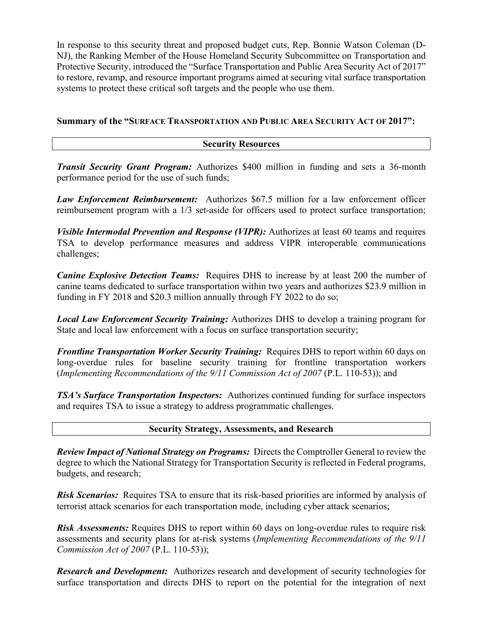In response to this security threat and proposed budget cuts, Rep. Bonnie Watson Coleman (D-NJ), the Ranking Member of the House Homeland Security Subcommittee on Transportation and Protective Security, introduced the "Surface Transportation and Public Area Security Act of 2017" to restore, revamp, and resource important programs aimed at securing vital surface transportation systems to protect these critical soft targets and the people who use them.

### **Summary of the "SURFACE TRANSPORTATION AND PUBLIC AREA SECURITY ACT OF 2017":**

#### **Security Resources**

*Transit Security Grant Program:* Authorizes \$400 million in funding and sets a 36-month performance period for the use of such funds;

*Law Enforcement Reimbursement:* Authorizes \$67.5 million for a law enforcement officer reimbursement program with a 1/3 set-aside for officers used to protect surface transportation;

*Visible Intermodal Prevention and Response (VIPR):* Authorizes at least 60 teams and requires TSA to develop performance measures and address VIPR interoperable communications challenges;

*Canine Explosive Detection Teams:* Requires DHS to increase by at least 200 the number of canine teams dedicated to surface transportation within two years and authorizes \$23.9 million in funding in FY 2018 and \$20.3 million annually through FY 2022 to do so;

*Local Law Enforcement Security Training:* Authorizes DHS to develop a training program for State and local law enforcement with a focus on surface transportation security;

*Frontline Transportation Worker Security Training:* Requires DHS to report within 60 days on long-overdue rules for baseline security training for frontline transportation workers (*Implementing Recommendations of the 9/11 Commission Act of 2007* (P.L. 110-53)); and

*TSA's Surface Transportation Inspectors:* Authorizes continued funding for surface inspectors and requires TSA to issue a strategy to address programmatic challenges.

#### **Security Strategy, Assessments, and Research**

*Review Impact of National Strategy on Programs:* Directs the Comptroller General to review the degree to which the National Strategy for Transportation Security is reflected in Federal programs, budgets, and research;

*Risk Scenarios:* Requires TSA to ensure that its risk-based priorities are informed by analysis of terrorist attack scenarios for each transportation mode, including cyber attack scenarios;

*Risk Assessments:* Requires DHS to report within 60 days on long-overdue rules to require risk assessments and security plans for at-risk systems (*Implementing Recommendations of the 9/11 Commission Act of 2007* (P.L. 110-53));

*Research and Development:* Authorizes research and development of security technologies for surface transportation and directs DHS to report on the potential for the integration of next